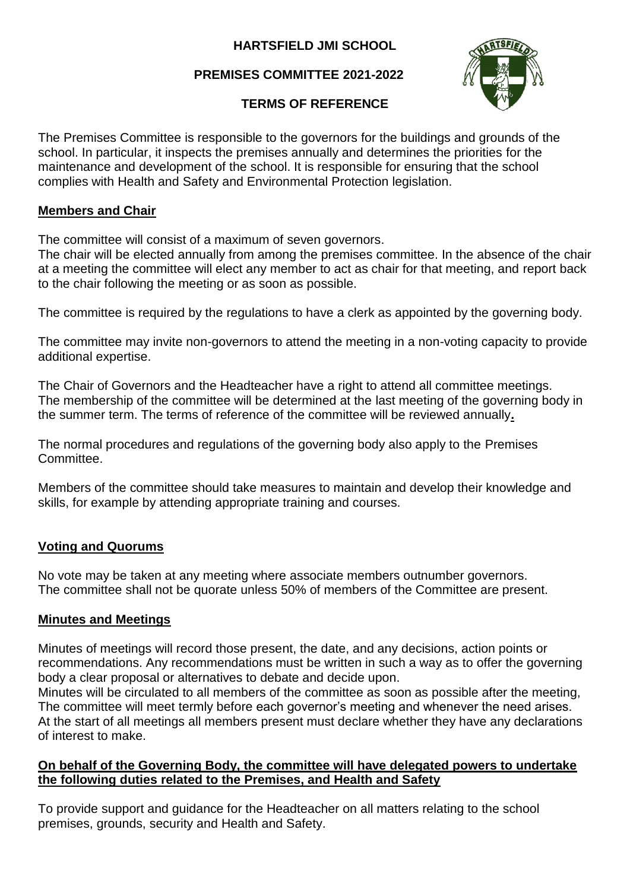## **HARTSFIELD JMI SCHOOL**

# **PREMISES COMMITTEE 2021-2022**



### **TERMS OF REFERENCE**

The Premises Committee is responsible to the governors for the buildings and grounds of the school. In particular, it inspects the premises annually and determines the priorities for the maintenance and development of the school. It is responsible for ensuring that the school complies with Health and Safety and Environmental Protection legislation.

### **Members and Chair**

The committee will consist of a maximum of seven governors.

The chair will be elected annually from among the premises committee. In the absence of the chair at a meeting the committee will elect any member to act as chair for that meeting, and report back to the chair following the meeting or as soon as possible.

The committee is required by the regulations to have a clerk as appointed by the governing body.

The committee may invite non-governors to attend the meeting in a non-voting capacity to provide additional expertise.

The Chair of Governors and the Headteacher have a right to attend all committee meetings. The membership of the committee will be determined at the last meeting of the governing body in the summer term. The terms of reference of the committee will be reviewed annually**.**

The normal procedures and regulations of the governing body also apply to the Premises Committee.

Members of the committee should take measures to maintain and develop their knowledge and skills, for example by attending appropriate training and courses.

### **Voting and Quorums**

No vote may be taken at any meeting where associate members outnumber governors. The committee shall not be quorate unless 50% of members of the Committee are present.

### **Minutes and Meetings**

Minutes of meetings will record those present, the date, and any decisions, action points or recommendations. Any recommendations must be written in such a way as to offer the governing body a clear proposal or alternatives to debate and decide upon.

Minutes will be circulated to all members of the committee as soon as possible after the meeting, The committee will meet termly before each governor's meeting and whenever the need arises. At the start of all meetings all members present must declare whether they have any declarations of interest to make.

#### **On behalf of the Governing Body, the committee will have delegated powers to undertake the following duties related to the Premises, and Health and Safety**

To provide support and guidance for the Headteacher on all matters relating to the school premises, grounds, security and Health and Safety.